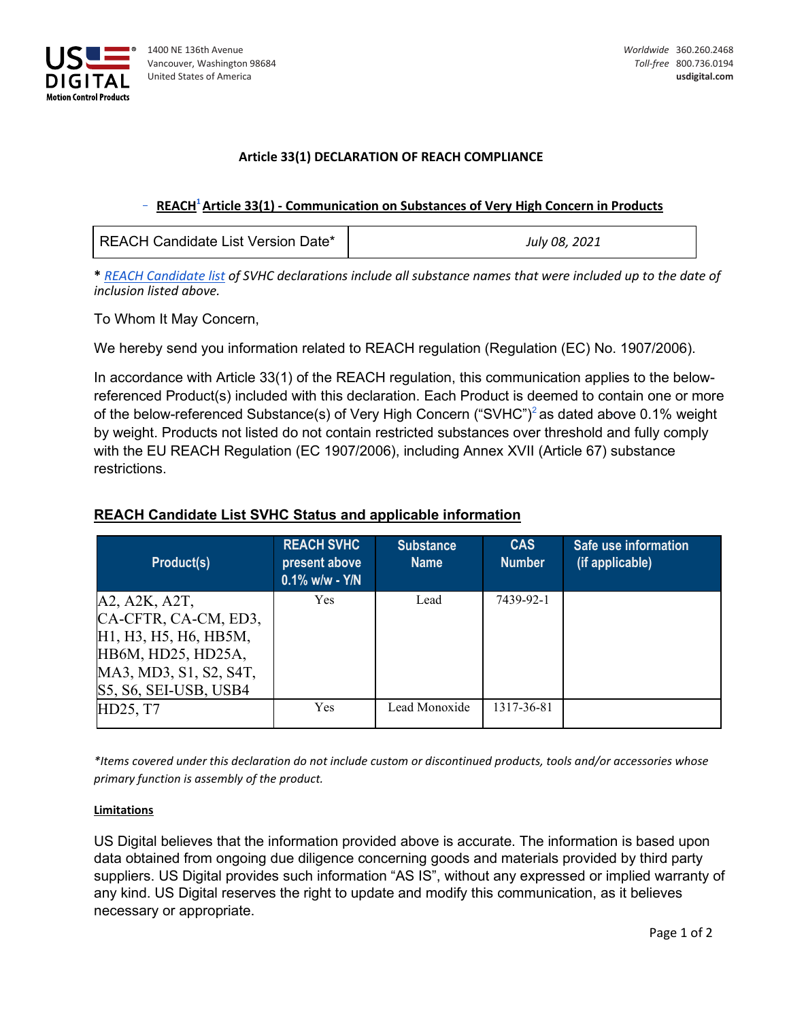

## **Article 33(1) DECLARATION OF REACH COMPLIANCE**

## **REACH1 Article 33(1) - Communication on Substances of Very High Concern in Products**

| REACH Candidate List Version Date* | July 08, 2021 |  |
|------------------------------------|---------------|--|
|------------------------------------|---------------|--|

**\*** *[REACH Candidate list](https://echa.europa.eu/candidate-list-table) of SVHC declarations include all substance names that were included up to the date of inclusion listed above.*

To Whom It May Concern,

We hereby send you information related to REACH regulation (Regulation (EC) No. 1907/2006).

In accordance with Article 33(1) of the REACH regulation, this communication applies to the belowreferenced Product(s) included with this declaration. Each Product is deemed to contain one or more of the below-referenced Substance(s) of Very High Concern ("SVHC")<sup>2</sup> as dated above 0.1% weight by weight. Products not listed do not contain restricted substances over threshold and fully comply with the EU REACH Regulation (EC 1907/2006), including Annex XVII (Article 67) substance restrictions.

## **REACH Candidate List SVHC Status and applicable information**

| <b>Product(s)</b>                                                                      | <b>REACH SVHC</b><br>present above<br>$0.1\%$ w/w - Y/N | <b>Substance</b><br><b>Name</b> | <b>CAS</b><br><b>Number</b> | Safe use information<br>(if applicable) |
|----------------------------------------------------------------------------------------|---------------------------------------------------------|---------------------------------|-----------------------------|-----------------------------------------|
| A2, A2K, A2T,                                                                          | <b>Yes</b>                                              | Lead                            | 7439-92-1                   |                                         |
| CA-CFTR, CA-CM, ED3,                                                                   |                                                         |                                 |                             |                                         |
| H <sub>1</sub> , H <sub>3</sub> , H <sub>5</sub> , H <sub>6</sub> , H <sub>B</sub> 5M, |                                                         |                                 |                             |                                         |
| HB6M, HD25, HD25A,                                                                     |                                                         |                                 |                             |                                         |
| MA3, MD3, S1, S2, S4T,                                                                 |                                                         |                                 |                             |                                         |
| $S5, S6, SEI-USB, USB4$                                                                |                                                         |                                 |                             |                                         |
| HD25, T7                                                                               | <b>Yes</b>                                              | Lead Monoxide                   | 1317-36-81                  |                                         |

*\*Items covered under this declaration do not include custom or discontinued products, tools and/or accessories whose primary function is assembly of the product.*

## **Limitations**

US Digital believes that the information provided above is accurate. The information is based upon data obtained from ongoing due diligence concerning goods and materials provided by third party suppliers. US Digital provides such information "AS IS", without any expressed or implied warranty of any kind. US Digital reserves the right to update and modify this communication, as it believes necessary or appropriate.